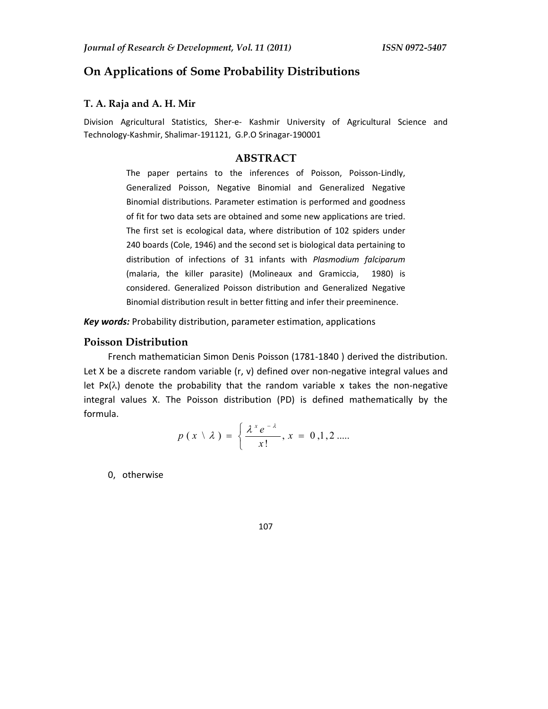# **On Applications of Some Probability Distributions**

### **T. A. Raja and A. H. Mir**

Division Agricultural Statistics, Sher-e- Kashmir University of Agricultural Science and Technology-Kashmir, Shalimar-191121, G.P.O Srinagar-190001

# **ABSTRACT**

The paper pertains to the inferences of Poisson, Poisson-Lindly, Generalized Poisson, Negative Binomial and Generalized Negative Binomial distributions. Parameter estimation is performed and goodness of fit for two data sets are obtained and some new applications are tried. The first set is ecological data, where distribution of 102 spiders under 240 boards (Cole, 1946) and the second set is biological data pertaining to distribution of infections of 31 infants with *Plasmodium falciparum* (malaria, the killer parasite) (Molineaux and Gramiccia, 1980) is considered. Generalized Poisson distribution and Generalized Negative Binomial distribution result in better fitting and infer their preeminence.

*Key words:* Probability distribution, parameter estimation, applications

#### **Poisson Distribution**

French mathematician Simon Denis Poisson (1781-1840 ) derived the distribution. Let X be a discrete random variable  $(r, v)$  defined over non-negative integral values and let  $Px(\lambda)$  denote the probability that the random variable x takes the non-negative integral values X. The Poisson distribution (PD) is defined mathematically by the formula.

$$
p(x \setminus \lambda) = \left\{ \frac{\lambda^x e^{-\lambda}}{x!}, x = 0, 1, 2 \dots \right\}
$$

0, otherwise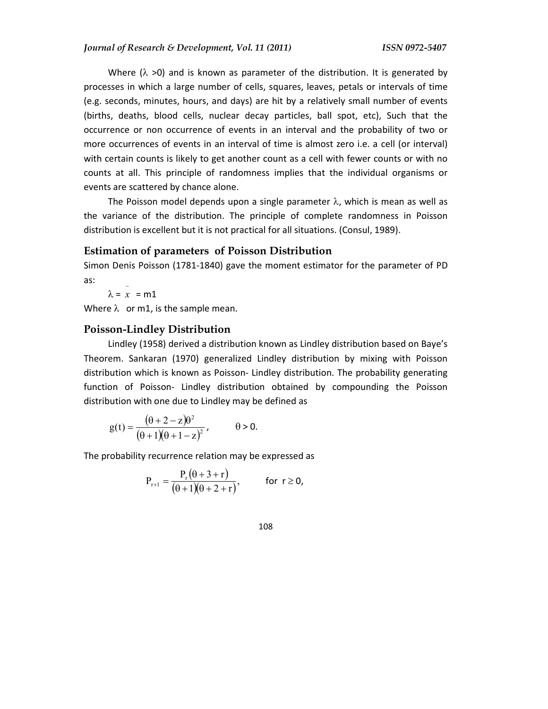Where ( $\lambda$  >0) and is known as parameter of the distribution. It is generated by processes in which a large number of cells, squares, leaves, petals or intervals of time (e.g. seconds, minutes, hours, and days) are hit by a relatively small number of events (births, deaths, blood cells, nuclear decay particles, ball spot, etc), Such that the occurrence or non occurrence of events in an interval and the probability of two or more occurrences of events in an interval of time is almost zero i.e. a cell (or interval) with certain counts is likely to get another count as a cell with fewer counts or with no counts at all. This principle of randomness implies that the individual organisms or events are scattered by chance alone.

The Poisson model depends upon a single parameter  $\lambda$ , which is mean as well as the variance of the distribution. The principle of complete randomness in Poisson distribution is excellent but it is not practical for all situations. (Consul, 1989).

## **Estimation of parameters of Poisson Distribution**

Simon Denis Poisson (1781-1840) gave the moment estimator for the parameter of PD as: −

 $\lambda = x = m1$ 

Where  $\lambda$  or m1, is the sample mean.

## **Poisson-Lindley Distribution**

Lindley (1958) derived a distribution known as Lindley distribution based on Baye's Theorem. Sankaran (1970) generalized Lindley distribution by mixing with Poisson distribution which is known as Poisson- Lindley distribution. The probability generating function of Poisson- Lindley distribution obtained by compounding the Poisson distribution with one due to Lindley may be defined as

$$
g(t) = \frac{(\theta + 2 - z)\theta^2}{(\theta + 1)(\theta + 1 - z)^2}, \qquad \theta > 0.
$$

The probability recurrence relation may be expressed as

$$
P_{r+1} = \frac{P_r(\theta+3+r)}{(\theta+1)(\theta+2+r)}, \quad \text{for } r \ge 0,
$$

$$
108 \\
$$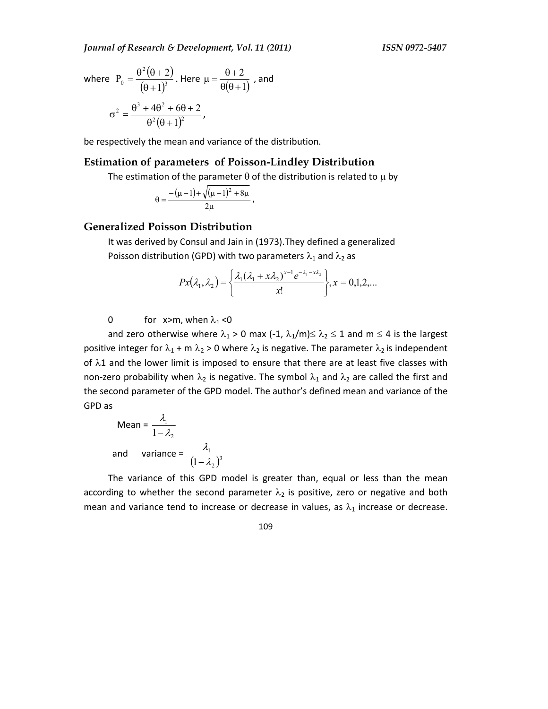*Journal of Research & Development, Vol. 11 (2011) ISSN 0972-5407* 

where 
$$
P_0 = \frac{\theta^2 (\theta + 2)}{(\theta + 1)^3}
$$
. Here  $\mu = \frac{\theta + 2}{\theta(\theta + 1)}$ , and  

$$
\sigma^2 = \frac{\theta^3 + 4\theta^2 + 6\theta + 2}{\theta^2(\theta + 1)^2},
$$

be respectively the mean and variance of the distribution.

## **Estimation of parameters of Poisson-Lindley Distribution**

The estimation of the parameter  $\theta$  of the distribution is related to  $\mu$  by

$$
\theta = \frac{-(\mu - 1) + \sqrt{(\mu - 1)^2 + 8\mu}}{2\mu},
$$

#### **Generalized Poisson Distribution**

It was derived by Consul and Jain in (1973).They defined a generalized Poisson distribution (GPD) with two parameters  $\lambda_1$  and  $\lambda_2$  as

$$
Px(\lambda_1, \lambda_2) = \left\{ \frac{\lambda_1(\lambda_1 + x\lambda_2)^{x-1} e^{-\lambda_1 - x\lambda_2}}{x!} \right\}, x = 0, 1, 2, \dots
$$

0 for x>m, when  $\lambda_1$  <0

and zero otherwise where  $\lambda_1 > 0$  max (-1,  $\lambda_1/m \leq \lambda_2 \leq 1$  and  $m \leq 4$  is the largest positive integer for  $\lambda_1$  + m  $\lambda_2$  > 0 where  $\lambda_2$  is negative. The parameter  $\lambda_2$  is independent of  $\lambda$ 1 and the lower limit is imposed to ensure that there are at least five classes with non-zero probability when  $\lambda_2$  is negative. The symbol  $\lambda_1$  and  $\lambda_2$  are called the first and the second parameter of the GPD model. The author's defined mean and variance of the GPD as

Mean = 
$$
\frac{\lambda_1}{1 - \lambda_2}
$$
  
and variance =  $\frac{\lambda_1}{(1 - \lambda_2)^3}$ 

The variance of this GPD model is greater than, equal or less than the mean according to whether the second parameter  $\lambda_2$  is positive, zero or negative and both mean and variance tend to increase or decrease in values, as  $\lambda_1$  increase or decrease.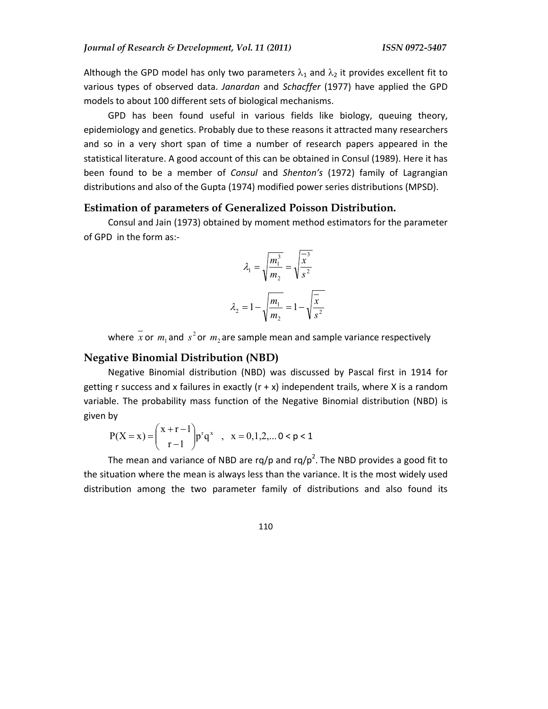Although the GPD model has only two parameters  $\lambda_1$  and  $\lambda_2$  it provides excellent fit to various types of observed data. *Janardan* and *Schacffer* (1977) have applied the GPD models to about 100 different sets of biological mechanisms.

GPD has been found useful in various fields like biology, queuing theory, epidemiology and genetics. Probably due to these reasons it attracted many researchers and so in a very short span of time a number of research papers appeared in the statistical literature. A good account of this can be obtained in Consul (1989). Here it has been found to be a member of *Consul* and *Shenton's* (1972) family of Lagrangian distributions and also of the Gupta (1974) modified power series distributions (MPSD).

#### **Estimation of parameters of Generalized Poisson Distribution.**

Consul and Jain (1973) obtained by moment method estimators for the parameter of GPD in the form as:-

$$
\lambda_1 = \sqrt{\frac{m_1^3}{m_2}} = \sqrt{\frac{x^3}{s^2}}
$$

$$
\lambda_2 = 1 - \sqrt{\frac{m_1}{m_2}} = 1 - \sqrt{\frac{x}{s^2}}
$$

where x or  $m_1$  and  $s^2$  or  $m_2$  are sample mean and sample variance respectively

### **Negative Binomial Distribution (NBD)**

Negative Binomial distribution (NBD) was discussed by Pascal first in 1914 for getting r success and x failures in exactly  $(r + x)$  independent trails, where X is a random variable. The probability mass function of the Negative Binomial distribution (NBD) is given by

$$
P(X = x) = {x + r - 1 \choose r - 1} p^{r} q^{x} , x = 0, 1, 2, ... 0 < p < 1
$$

The mean and variance of NBD are rq/p and rq/p<sup>2</sup>. The NBD provides a good fit to the situation where the mean is always less than the variance. It is the most widely used distribution among the two parameter family of distributions and also found its

$$
110 \\
$$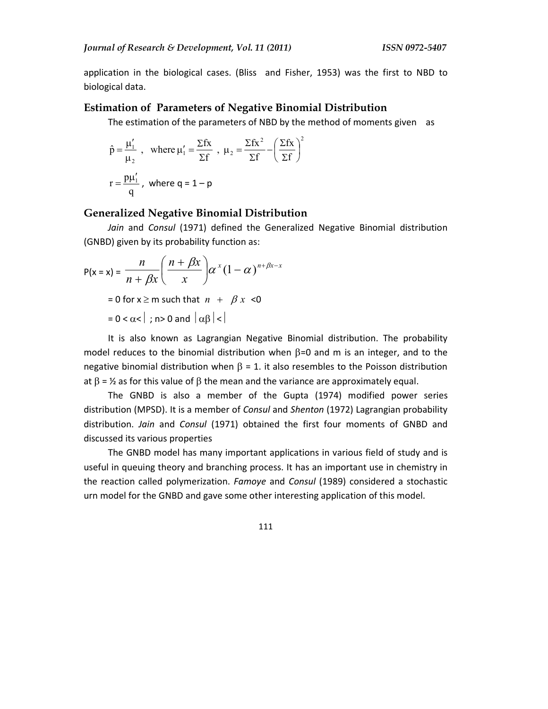application in the biological cases. (Bliss and Fisher, 1953) was the first to NBD to biological data.

#### **Estimation of Parameters of Negative Binomial Distribution**

The estimation of the parameters of NBD by the method of moments given as

$$
\hat{p} = \frac{\mu'_1}{\mu_2}, \text{ where } \mu'_1 = \frac{\Sigma fx}{\Sigma f}, \mu_2 = \frac{\Sigma fx^2}{\Sigma f} - \left(\frac{\Sigma fx}{\Sigma f}\right)^2
$$

$$
r = \frac{p\mu'_1}{q}, \text{ where } q = 1 - p
$$

# **Generalized Negative Binomial Distribution**

*Jain* and *Consul* (1971) defined the Generalized Negative Binomial distribution (GNBD) given by its probability function as:

$$
P(x = x) = \frac{n}{n + \beta x} \left( \frac{n + \beta x}{x} \right) \alpha^{x} (1 - \alpha)^{n + \beta x - x}
$$
  
= 0 for x \ge m such that  $n + \beta x < 0$   
= 0 < \alpha < |; n > 0 and  $|\alpha \beta| <$ |

It is also known as Lagrangian Negative Binomial distribution. The probability model reduces to the binomial distribution when  $\beta$ =0 and m is an integer, and to the negative binomial distribution when  $\beta = 1$ . it also resembles to the Poisson distribution at  $\beta = \frac{1}{2}$  as for this value of  $\beta$  the mean and the variance are approximately equal.

The GNBD is also a member of the Gupta (1974) modified power series distribution (MPSD). It is a member of *Consul* and *Shenton* (1972) Lagrangian probability distribution. *Jain* and *Consul* (1971) obtained the first four moments of GNBD and discussed its various properties

The GNBD model has many important applications in various field of study and is useful in queuing theory and branching process. It has an important use in chemistry in the reaction called polymerization. *Famoye* and *Consul* (1989) considered a stochastic urn model for the GNBD and gave some other interesting application of this model.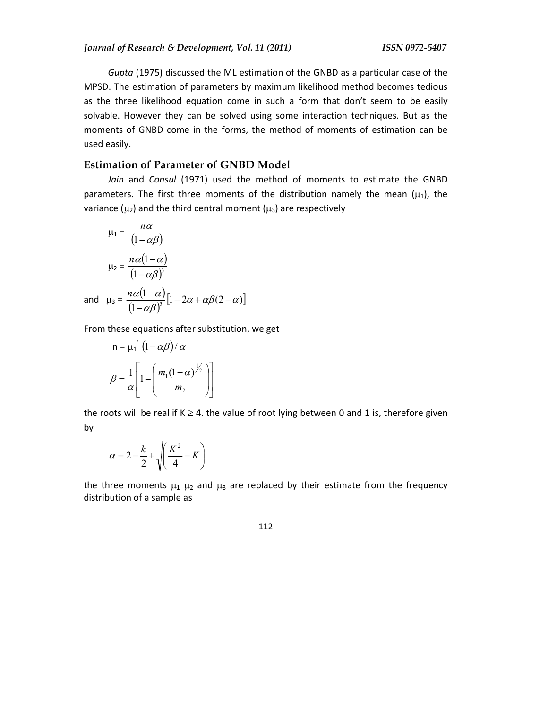*Gupta* (1975) discussed the ML estimation of the GNBD as a particular case of the MPSD. The estimation of parameters by maximum likelihood method becomes tedious as the three likelihood equation come in such a form that don't seem to be easily solvable. However they can be solved using some interaction techniques. But as the moments of GNBD come in the forms, the method of moments of estimation can be used easily.

## **Estimation of Parameter of GNBD Model**

*Jain* and *Consul* (1971) used the method of moments to estimate the GNBD parameters. The first three moments of the distribution namely the mean  $(\mu_1)$ , the variance ( $\mu_2$ ) and the third central moment ( $\mu_3$ ) are respectively

$$
\mu_1 = \frac{n\alpha}{(1 - \alpha \beta)}
$$
  
\n
$$
\mu_2 = \frac{n\alpha(1 - \alpha)}{(1 - \alpha \beta)^3}
$$
  
\nand 
$$
\mu_3 = \frac{n\alpha(1 - \alpha)}{(1 - \alpha \beta)^3} [1 - 2\alpha + \alpha \beta(2 - \alpha)]
$$

From these equations after substitution, we get

$$
n = \mu_1 \left(1 - \alpha \beta\right) / \alpha
$$

$$
\beta = \frac{1}{\alpha} \left[1 - \left(\frac{m_1(1-\alpha)^{\frac{1}{2}}}{m_2}\right)\right]
$$

the roots will be real if  $K \geq 4$ . the value of root lying between 0 and 1 is, therefore given by

$$
\alpha = 2 - \frac{k}{2} + \sqrt{\left(\frac{K^2}{4} - K\right)}
$$

the three moments  $\mu_1$   $\mu_2$  and  $\mu_3$  are replaced by their estimate from the frequency distribution of a sample as

$$
1\\1\\2
$$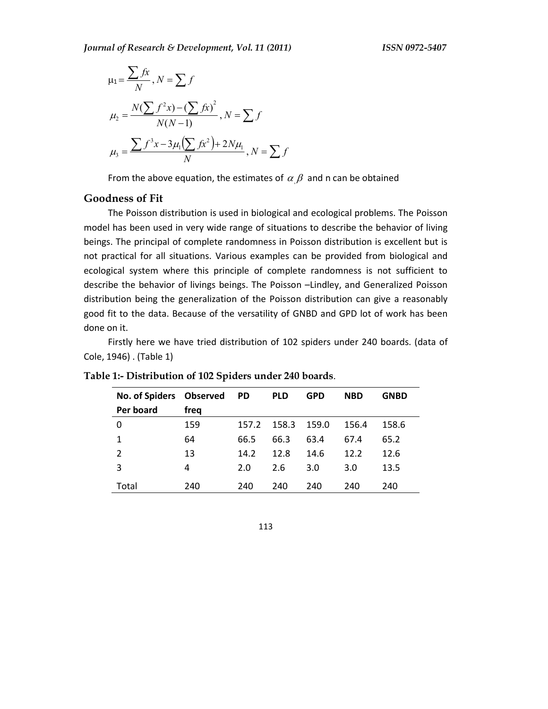$$
\mu_1 = \frac{\sum fx}{N}, N = \sum f
$$
  
\n
$$
\mu_2 = \frac{N(\sum f^2 x) - (\sum fx)^2}{N(N-1)}, N = \sum f
$$
  
\n
$$
\mu_3 = \frac{\sum f^3 x - 3\mu_1(\sum fx^2) + 2N\mu_1}{N}, N = \sum f
$$

From the above equation, the estimates of  $\alpha \beta$  and n can be obtained

# **Goodness of Fit**

The Poisson distribution is used in biological and ecological problems. The Poisson model has been used in very wide range of situations to describe the behavior of living beings. The principal of complete randomness in Poisson distribution is excellent but is not practical for all situations. Various examples can be provided from biological and ecological system where this principle of complete randomness is not sufficient to describe the behavior of livings beings. The Poisson –Lindley, and Generalized Poisson distribution being the generalization of the Poisson distribution can give a reasonably good fit to the data. Because of the versatility of GNBD and GPD lot of work has been done on it.

Firstly here we have tried distribution of 102 spiders under 240 boards. (data of Cole, 1946) . (Table 1)

| <b>No. of Spiders</b> | Observed | <b>PD</b> | <b>PLD</b> | <b>GPD</b> | <b>NBD</b> | <b>GNBD</b> |
|-----------------------|----------|-----------|------------|------------|------------|-------------|
| Per board             | freq     |           |            |            |            |             |
| 0                     | 159      | 157.2     | 158.3      | 159.0      | 156.4      | 158.6       |
| 1                     | 64       | 66.5      | 66.3       | 63.4       | 67.4       | 65.2        |
| 2                     | 13       | 14.2      | 12.8       | 14.6       | 12.2       | 12.6        |
| 3                     | 4        | 2.0       | 2.6        | 3.0        | 3.0        | 13.5        |
| Total                 | 240      | 240       | 240        | 240        | 240        | 240         |

**Table 1:- Distribution of 102 Spiders under 240 boards**.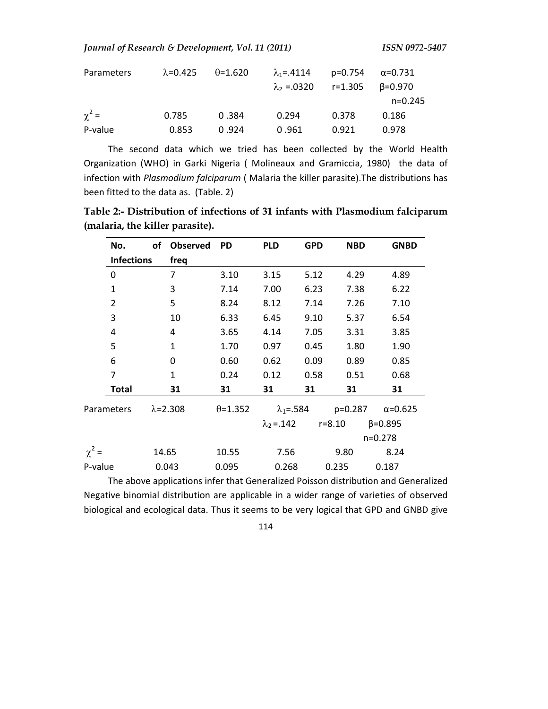*Journal of Research & Development, Vol. 11 (2011) ISSN 0972-5407* 

| Parameters | $\lambda$ =0.425 | $\theta$ =1.620 | $\lambda_1 = .4114$                       | p=0.754 | α=0.731   |
|------------|------------------|-----------------|-------------------------------------------|---------|-----------|
|            |                  |                 | $\lambda_2$ =.0320 r=1.305 $\beta$ =0.970 |         |           |
|            |                  |                 |                                           |         | $n=0.245$ |
| $\chi^2 =$ | 0.785            | 0.384           | 0.294                                     | 0.378   | 0.186     |
| P-value    | 0.853            | 0.924           | 0.961                                     | 0.921   | 0.978     |

The second data which we tried has been collected by the World Health Organization (WHO) in Garki Nigeria ( Molineaux and Gramiccia, 1980) the data of infection with *Plasmodium falciparum* ( Malaria the killer parasite).The distributions has been fitted to the data as. (Table. 2)

**Table 2:- Distribution of infections of 31 infants with Plasmodium falciparum (malaria, the killer parasite).**

| No.               | of                | <b>Observed</b> | <b>PD</b>        | <b>PLD</b>                | <b>GPD</b> | <b>NBD</b> | <b>GNBD</b>      |
|-------------------|-------------------|-----------------|------------------|---------------------------|------------|------------|------------------|
| <b>Infections</b> | freq              |                 |                  |                           |            |            |                  |
| 0                 | 7                 |                 | 3.10             | 3.15                      | 5.12       | 4.29       | 4.89             |
| 1                 | 3                 |                 | 7.14             | 7.00                      | 6.23       | 7.38       | 6.22             |
| $\overline{2}$    | 5                 |                 | 8.24             | 8.12                      | 7.14       | 7.26       | 7.10             |
| 3                 | 10                |                 | 6.33             | 6.45                      | 9.10       | 5.37       | 6.54             |
| 4                 | 4                 |                 | 3.65             | 4.14                      | 7.05       | 3.31       | 3.85             |
| 5                 | $\mathbf{1}$      |                 | 1.70             | 0.97                      | 0.45       | 1.80       | 1.90             |
| 6                 | 0                 |                 | 0.60             | 0.62                      | 0.09       | 0.89       | 0.85             |
| 7                 | $\mathbf{1}$      |                 | 0.24             | 0.12                      | 0.58       | 0.51       | 0.68             |
| <b>Total</b>      | 31                |                 | 31               | 31                        | 31         | 31         | 31               |
| Parameters        | $\lambda = 2.308$ |                 | $\theta = 1.352$ | $\lambda_1 = .584$        |            | $p=0.287$  | $\alpha = 0.625$ |
|                   |                   |                 |                  | $\lambda_2 = .142$ r=8.10 |            |            | $\beta = 0.895$  |
|                   |                   |                 |                  |                           |            |            | $n=0.278$        |
| $\chi^2$ =        | 14.65             |                 | 10.55            | 7.56                      |            | 9.80       | 8.24             |
| P-value           | 0.043             |                 | 0.095            | 0.268                     |            | 0.235      | 0.187            |

The above applications infer that Generalized Poisson distribution and Generalized Negative binomial distribution are applicable in a wider range of varieties of observed biological and ecological data. Thus it seems to be very logical that GPD and GNBD give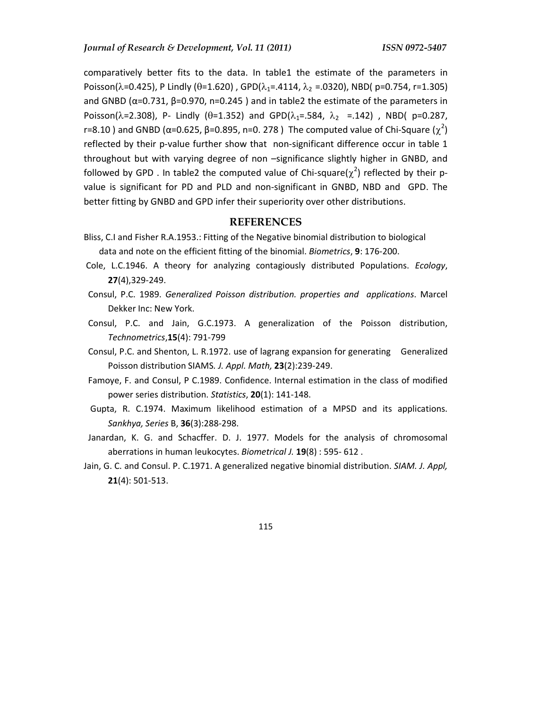comparatively better fits to the data. In table1 the estimate of the parameters in Poisson( $\lambda$ =0.425), P Lindly ( $\theta$ =1.620), GPD( $\lambda$ <sub>1</sub>=.4114,  $\lambda$ <sub>2</sub> =.0320), NBD( p=0.754, r=1.305) and GNBD ( $\alpha$ =0.731,  $\beta$ =0.970, n=0.245) and in table2 the estimate of the parameters in Poisson( $\lambda$ =2.308), P- Lindly ( $\theta$ =1.352) and GPD( $\lambda$ <sub>1</sub>=.584,  $\lambda$ <sub>2</sub> =.142), NBD( p=0.287, r=8.10 ) and GNBD (α=0.625, β=0.895, n=0. 278 ) The computed value of Chi-Square ( $\chi^2$ ) reflected by their p-value further show that non-significant difference occur in table 1 throughout but with varying degree of non –significance slightly higher in GNBD, and followed by GPD . In table2 the computed value of Chi-square( $\chi^2$ ) reflected by their pvalue is significant for PD and PLD and non-significant in GNBD, NBD and GPD. The better fitting by GNBD and GPD infer their superiority over other distributions.

## **REFERENCES**

- Bliss, C.I and Fisher R.A.1953.: Fitting of the Negative binomial distribution to biological data and note on the efficient fitting of the binomial. *Biometrics*, **9**: 176-200.
- Cole, L.C.1946. A theory for analyzing contagiously distributed Populations. *Ecology*, **27**(4),329-249.
- Consul, P.C. 1989. *Generalized Poisson distribution. properties and applications*. Marcel Dekker Inc: New York.
- Consul, P.C. and Jain, G.C.1973. A generalization of the Poisson distribution, *Technometrics*,**15**(4): 791-799
- Consul, P.C. and Shenton, L. R.1972. use of lagrang expansion for generating Generalized Poisson distribution SIAMS*. J. Appl. Math,* **23**(2):239-249.
- Famoye, F. and Consul, P C.1989. Confidence. Internal estimation in the class of modified power series distribution. *Statistics*, **20**(1): 141-148.
- Gupta, R. C.1974. Maximum likelihood estimation of a MPSD and its applications. *Sankhya, Series* B, **36**(3):288-298.
- Janardan, K. G. and Schacffer. D. J. 1977. Models for the analysis of chromosomal aberrations in human leukocytes. *Biometrical J.* **19**(8) : 595- 612 .
- Jain, G. C. and Consul. P. C.1971. A generalized negative binomial distribution. *SIAM. J. Appl,* **21**(4): 501-513.